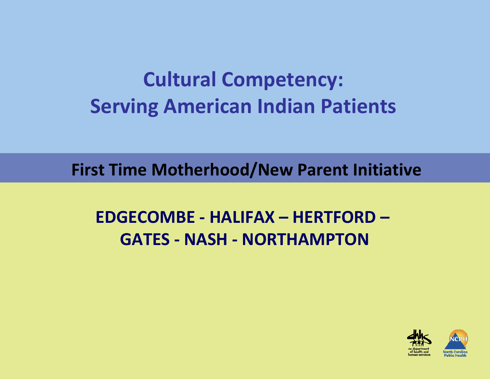# **Cultural Competency: Serving American Indian Patients**

**First Time Motherhood/New Parent Initiative**

### **EDGECOMBE ‐ HALIFAX – HERTFORD – GATES ‐ NASH ‐ NORTHAMPTON**

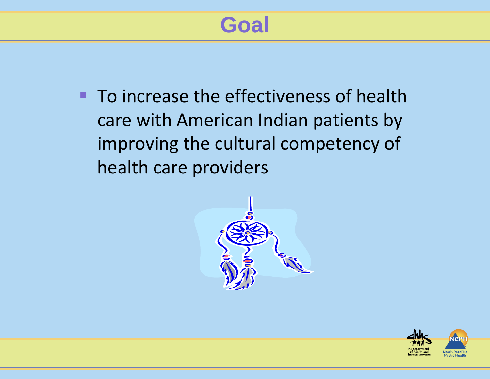# **Goal**

**To increase the effectiveness of health** care with American Indian patients by improving the cultural competency of health care providers



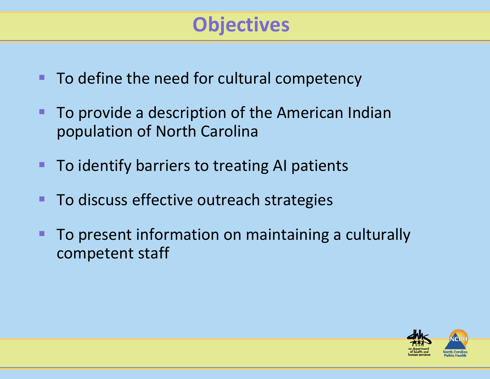## **Objectives**

- To define the need for cultural competency
- $\blacksquare$ **To provide a description of the American Indian** population of North Carolina
- To identify barriers to treating AI patients
- **To discuss effective outreach strategies**
- **To present information on maintaining a culturally** competent staff

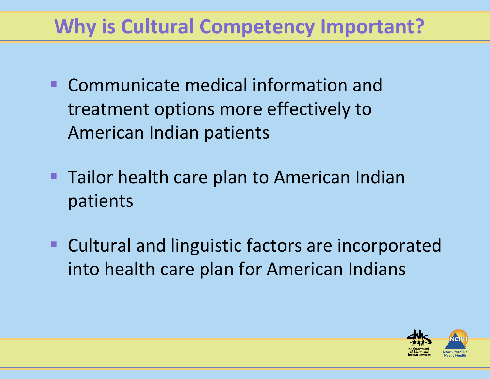## **Why is Cultural Competency Important?**

- п ■ Communicate medical information and treatment options more effectively to American Indian patients
- $\blacksquare$ **Tailor health care plan to American Indian** patients
- п **EXCULTER 2018 Cultural and linguistic factors are incorporated** into health care plan for American Indians

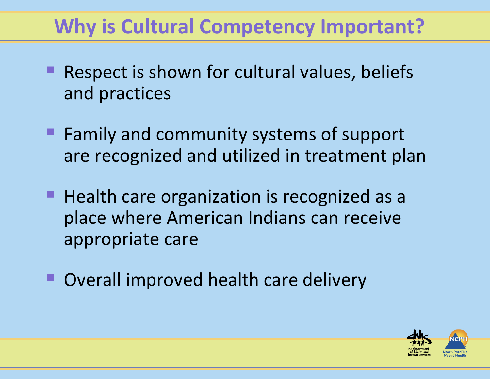## **Why is Cultural Competency Important?**

- **Respect is shown for cultural values, beliefs** and practices
- **Family and community systems of support** are recognized and utilized in treatment plan
- **Health care organization is recognized as a** place where American Indians can receive appropriate care
- Overall improved health care delivery

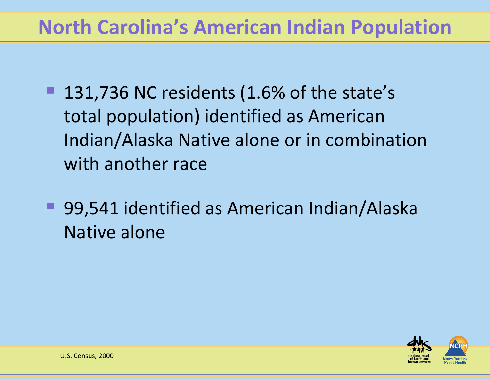### **North Carolina's American Indian Population**

- 131,736 NC residents (1.6% of the state's total population) identified as American Indian/Alaska Native alone or in combination with another race
- 99,541 identified as American Indian/Alaska Native alone

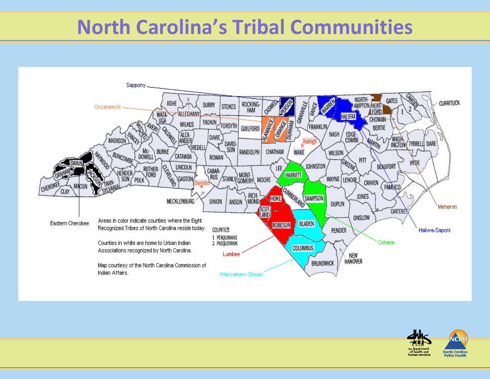### **North Carolina's Tribal Communities**



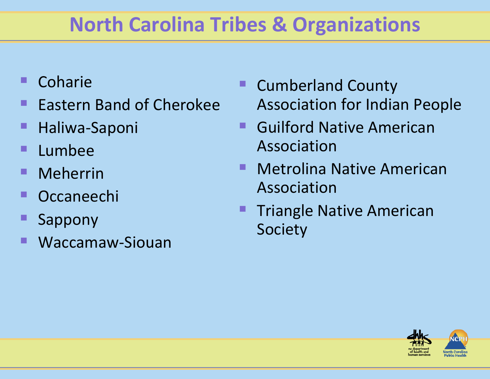# **North Carolina Tribes & Organizations**

- **Coharie**
- **Eastern Band of Cherokee**
- Haliwa‐Saponi
- Lumbee
- ш Meherrin
- П Occaneechi
- Sappony
- Waccamaw‐Siouan
- Cumberland County Association for Indian People
- $\blacksquare$ **• Guilford Native American** Association
- **Metrolina Native American** Association
- **Triangle Native American** Society

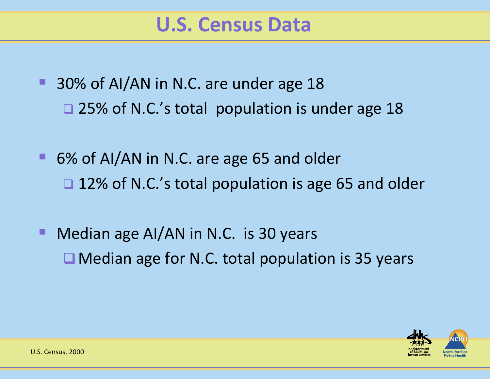- 30% of AI/AN in N.C. are under age 18 □ 25% of N.C.'s total population is under age 18
- 6% of AI/AN in N.C. are age 65 and older □ 12% of N.C.'s total population is age 65 and older
- **Median age AI/AN in N.C. is 30 years** ■ Median age for N.C. total population is 35 years

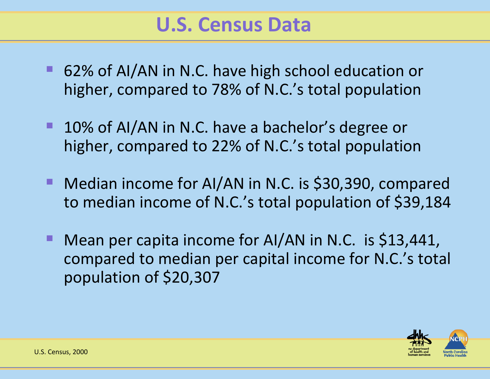### **U.S. Census Data**

- 62% of AI/AN in N.C. have high school education or higher, compared to 78% of N.C.'s total population
- 10% of AI/AN in N.C. have a bachelor's degree or higher, compared to 22% of N.C.'s total population
- Median income for AI/AN in N.C. is \$30,390, compared to median income of N.C.'s total population of \$39,184
- Mean per capita income for AI/AN in N.C. is \$13,441, compared to median per capital income for N.C.'s total population of \$20,307

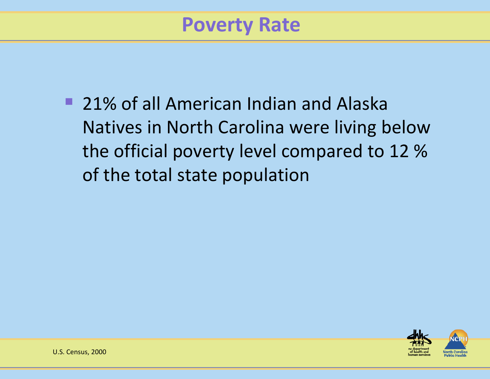### **Poverty Rate**

■ 21% of all American Indian and Alaska Natives in North Carolina were living below the official poverty level compared to 12 % of the total state population

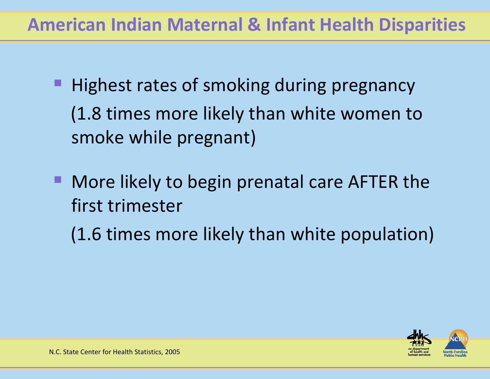### **American Indian Maternal & Infant Health Disparities**

- Highest rates of smoking during pregnancy (1.8 times more likely than white women to smoke while pregnant)
- **More likely to begin prenatal care AFTER the** first trimester
	- (1.6 times more likely than white population)

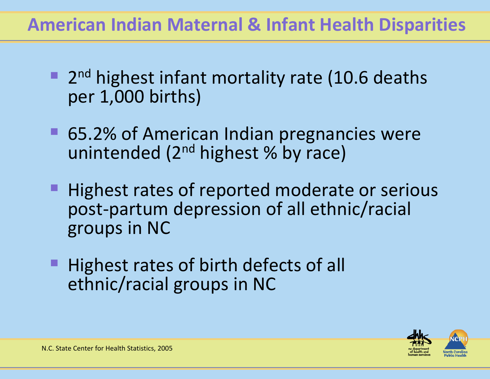### **American Indian Maternal & Infant Health Disparities**

- 2<sup>nd</sup> highest infant mortality rate (10.6 deaths per 1,000 births)
- 65.2% of American Indian pregnancies were unintended (2<sup>nd</sup> highest % by race)
- Highest rates of reported moderate or serious post‐partum depression of all ethnic/racial groups in NC
- Highest rates of birth defects of all ethnic/racial groups in NC

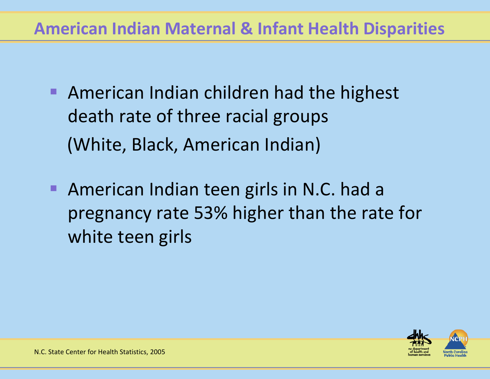#### **American Indian Maternal & Infant Health Disparities**

- $\blacksquare$ **American Indian children had the highest** death rate of three racial groups (White, Black, American Indian)
- п, **American Indian teen girls in N.C. had a** pregnancy rate 53% higher than the rate for white teen girls

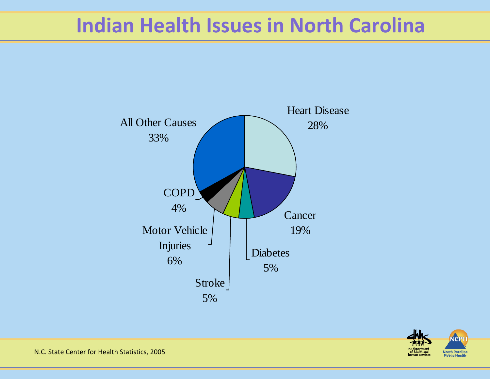### **Indian Health Issues in North Carolina**





N.C. State Center for Health Statistics, 2005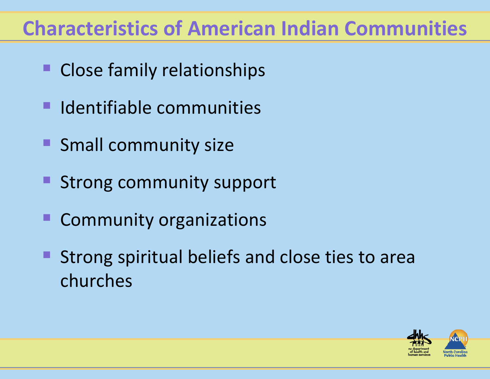### **Characteristics of American Indian Communities**

- **Close family relationships**
- **In Identifiable communities**
- **Small community size**
- **Strong community support**
- **E** Community organizations
- Strong spiritual beliefs and close ties to area churches

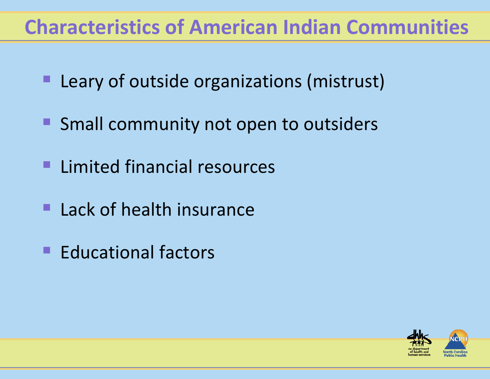### **Characteristics of American Indian Communities**

- п, Leary of outside organizations (mistrust)
- **Small community not open to outsiders**
- **Limited financial resources**
- $\blacksquare$ **Lack of health insurance**
- **Educational factors**

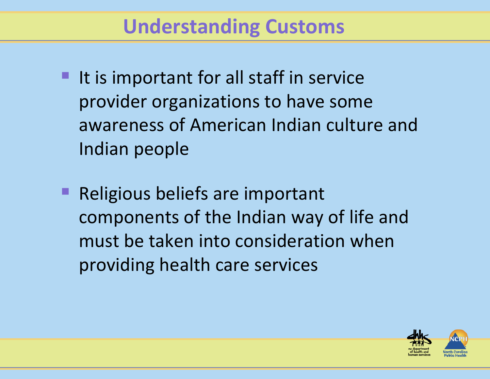### **Understanding Customs**

- It is important for all staff in service provider organizations to have some awareness of American Indian culture and Indian people
- Religious beliefs are important components of the Indian way of life and must be taken into consideration when providing health care services

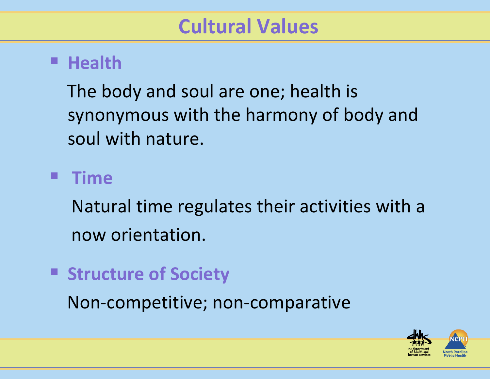#### **Health**

The body and soul are one; health is synonymous with the harmony of body and soul with nature.

#### **Time**

Natural time regulates their activities with <sup>a</sup> now orientation.

**Structure of Society**

Non‐competitive; non‐comparative

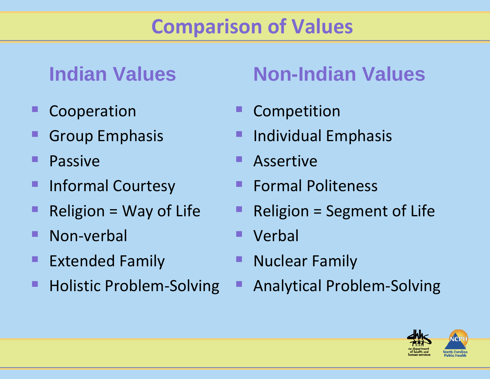## **Comparison of Values**

### **Indian Values**

- Cooperation
- Group Emphasis
- Passive
- Informal Courtesy
- Religion <sup>=</sup> Way of Life
- Non‐verbal
- **Extended Family**
- Holistic Problem‐Solving

# **Non-Indian Values**

- Competition
- Individual Emphasis
- Assertive
- Formal Politeness
- Religion <sup>=</sup> Segment of Life
- Verbal
- Nuclear Family
- Analytical Problem‐Solving

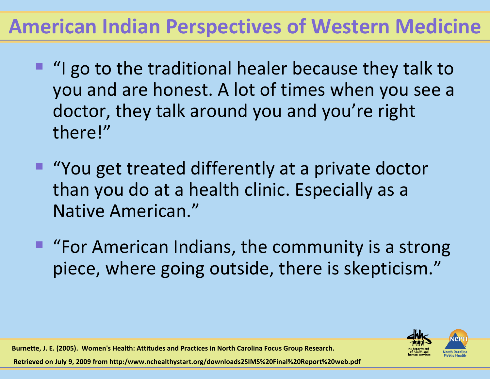## **American Indian Perspectives of Western Medicine**

- **I** "I go to the traditional healer because they talk to you and are honest. A lot of times when you see <sup>a</sup> doctor, they talk around you and you're right there!"
- "You get treated differently at a private doctor than you do at <sup>a</sup> health clinic. Especially as <sup>a</sup> Native American."
- **"For American Indians, the community is a strong** piece, where going outside, there is skepticism."



**Burnette, J. E. (2005). Women's Health: Attitudes and Practices in North Carolina Focus Group Research.**

**Retrieved on July 9, 2009 from http:/www.nchealthystart.org/downloads2SIMS%20Final%20Report%20web.pdf**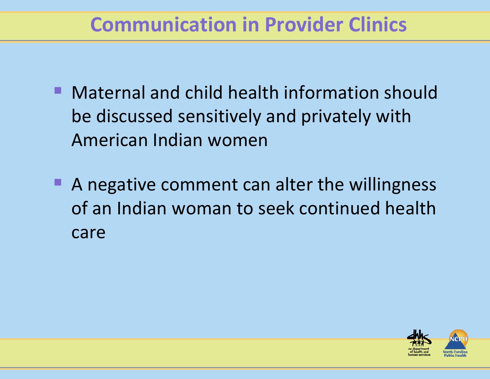### **Communication in Provider Clinics**

- Maternal and child health information should be discussed sensitively and privately with American Indian women
- A negative comment can alter the willingness of an Indian woman to seek continued health care

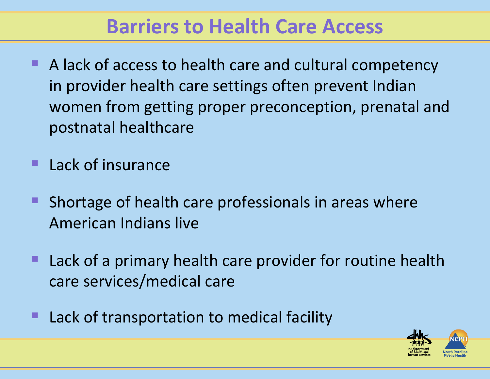### **Barriers to Health Care Access**

- A lack of access to health care and cultural competency in provider health care settings often prevent Indian women from getting proper preconception, prenatal and postnatal healthcare
- Lack of insurance
- ш Shortage of health care professionals in areas where American Indians live
- **Lack of a primary health care provider for routine health** care services/medical care
- Lack of transportation to medical facility

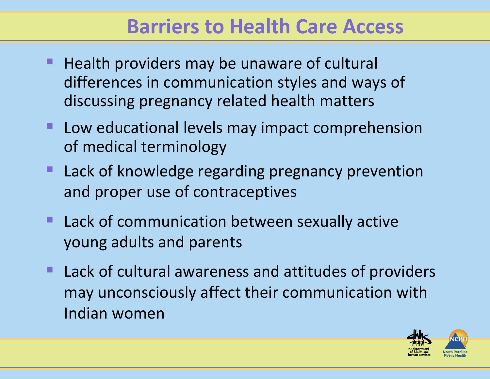### **Barriers to Health Care Access**

- **Health providers may be unaware of cultural** differences in communication styles and ways of discussing pregnancy related health matters
- **Low educational levels may impact comprehension** of medical terminology
- **Lack of knowledge regarding pregnancy prevention** and proper use of contraceptives
- **Lack of communication between sexually active** young adults and parents
- **Lack of cultural awareness and attitudes of providers** may unconsciously affect their communication with Indian women

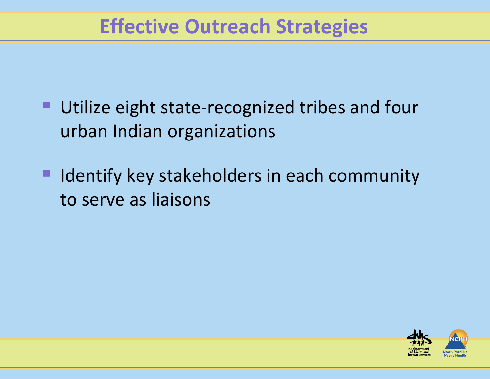### **Effective Outreach Strategies**

- Utilize eight state-recognized tribes and four urban Indian organizations
- Identify key stakeholders in each community to serve as liaisons

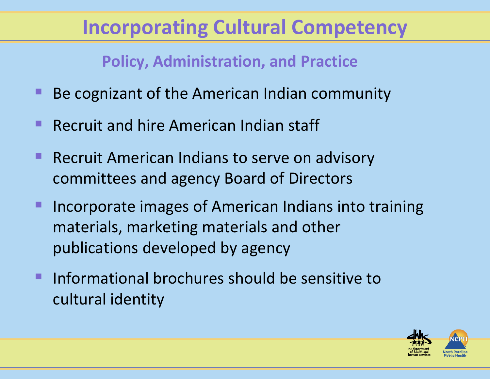## **Incorporating Cultural Competency**

**Policy, Administration, and Practice**

- **Be cognizant of the American Indian community**
- **Recruit and hire American Indian staff**
- **Recruit American Indians to serve on advisory** committees and agency Board of Directors
- Incorporate images of American Indians into training materials, marketing materials and other publications developed by agency
- **Informational brochures should be sensitive to** cultural identity

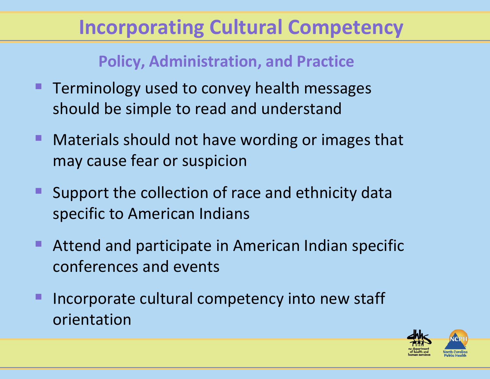## **Incorporating Cultural Competency**

#### **Policy, Administration, and Practice**

- Terminology used to convey health messages should be simple to read and understand
- Materials should not have wording or images that may cause fear or suspicion
- **Support the collection of race and ethnicity data** specific to American Indians
- **Attend and participate in American Indian specific** conferences and events
- Incorporate cultural competency into new staff orientation

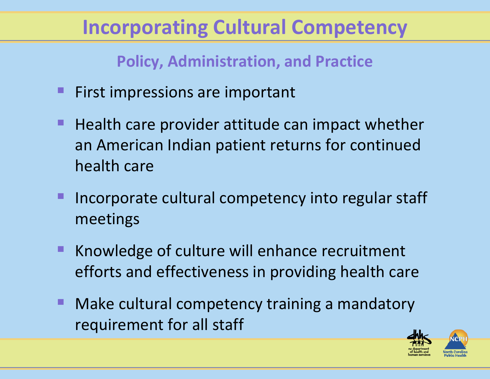## **Incorporating Cultural Competency**

**Policy, Administration, and Practice**

- First impressions are important
- Health care provider attitude can impact whether an American Indian patient returns for continued health care
- Incorporate cultural competency into regular staff meetings
- **K** Knowledge of culture will enhance recruitment efforts and effectiveness in providing health care
- $\blacksquare$ ■ Make cultural competency training a mandatory requirement for all staff